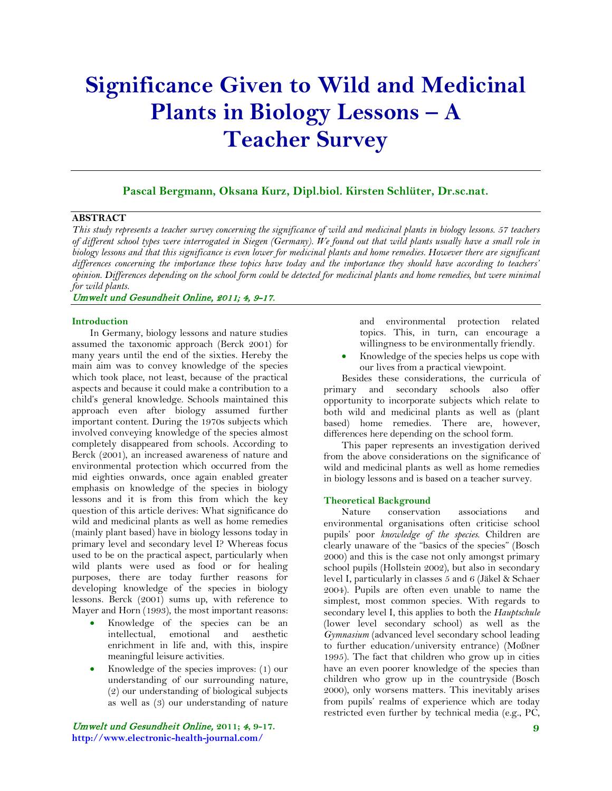# **Significance Given to Wild and Medicinal Plants in Biology Lessons – A Teacher Survey**

# **Pascal Bergmann, Oksana Kurz, Dipl.biol. Kirsten Schlüter, Dr.sc.nat.**

# **ABSTRACT**

*This study represents a teacher survey concerning the significance of wild and medicinal plants in biology lessons. 57 teachers of different school types were interrogated in Siegen (Germany). We found out that wild plants usually have a small role in biology lessons and that this significance is even lower for medicinal plants and home remedies. However there are significant differences concerning the importance these topics have today and the importance they should have according to teachers' opinion. Differences depending on the school form could be detected for medicinal plants and home remedies, but were minimal for wild plants.*

### Umwelt und Gesundheit Online, 2011; 4, 9-17.

#### **Introduction**

In Germany, biology lessons and nature studies assumed the taxonomic approach (Berck 2001) for many years until the end of the sixties. Hereby the main aim was to convey knowledge of the species which took place, not least, because of the practical aspects and because it could make a contribution to a child's general knowledge. Schools maintained this approach even after biology assumed further important content. During the 1970s subjects which involved conveying knowledge of the species almost completely disappeared from schools. According to Berck (2001), an increased awareness of nature and environmental protection which occurred from the mid eighties onwards, once again enabled greater emphasis on knowledge of the species in biology lessons and it is from this from which the key question of this article derives: What significance do wild and medicinal plants as well as home remedies (mainly plant based) have in biology lessons today in primary level and secondary level I? Whereas focus used to be on the practical aspect, particularly when wild plants were used as food or for healing purposes, there are today further reasons for developing knowledge of the species in biology lessons. Berck (2001) sums up, with reference to Mayer and Horn (1993), the most important reasons:

- Knowledge of the species can be an intellectual, emotional and aesthetic enrichment in life and, with this, inspire meaningful leisure activities.
- Knowledge of the species improves: (1) our understanding of our surrounding nature, (2) our understanding of biological subjects as well as (3) our understanding of nature

Umwelt und Gesundheit Online, **2011;** 4**, 9-17. http://www.electronic-health-journal.com/**

and environmental protection related topics. This, in turn, can encourage a willingness to be environmentally friendly.

• Knowledge of the species helps us cope with our lives from a practical viewpoint.

Besides these considerations, the curricula of primary and secondary schools also offer opportunity to incorporate subjects which relate to both wild and medicinal plants as well as (plant based) home remedies. There are, however, differences here depending on the school form.

This paper represents an investigation derived from the above considerations on the significance of wild and medicinal plants as well as home remedies in biology lessons and is based on a teacher survey.

#### **Theoretical Background**

Nature conservation associations and environmental organisations often criticise school pupils' poor *knowledge of the species*. Children are clearly unaware of the "basics of the species" (Bosch 2000) and this is the case not only amongst primary school pupils (Hollstein 2002), but also in secondary level I, particularly in classes 5 and 6 (Jäkel & Schaer 2004). Pupils are often even unable to name the simplest, most common species. With regards to secondary level I, this applies to both the *Hauptschule* (lower level secondary school) as well as the *Gymnasium* (advanced level secondary school leading to further education/university entrance) (Moßner 1995). The fact that children who grow up in cities have an even poorer knowledge of the species than children who grow up in the countryside (Bosch 2000), only worsens matters. This inevitably arises from pupils' realms of experience which are today restricted even further by technical media (e.g., PC,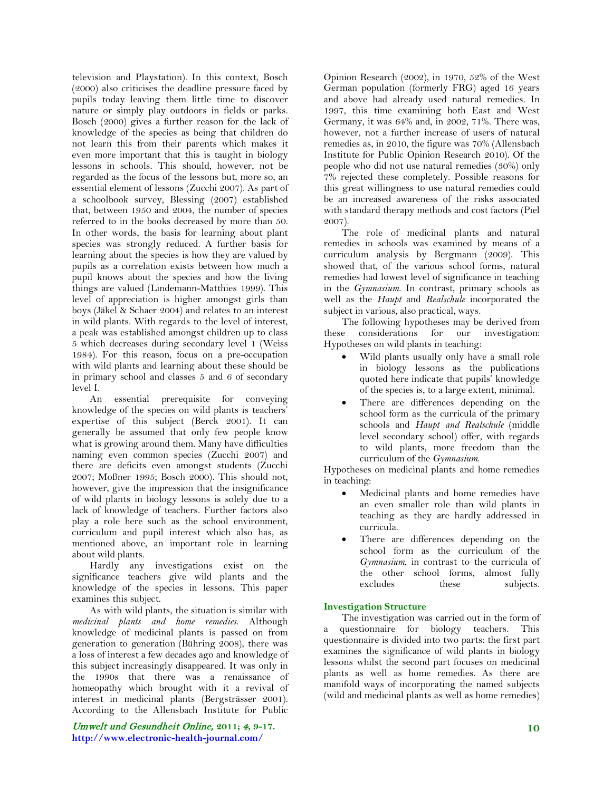television and Playstation). In this context, Bosch (2000) also criticises the deadline pressure faced by pupils today leaving them little time to discover nature or simply play outdoors in fields or parks. Bosch (2000) gives a further reason for the lack of knowledge of the species as being that children do not learn this from their parents which makes it even more important that this is taught in biology lessons in schools. This should, however, not be regarded as the focus of the lessons but, more so, an essential element of lessons (Zucchi 2007). As part of a schoolbook survey, Blessing (2007) established that, between 1950 and 2004, the number of species referred to in the books decreased by more than 50. In other words, the basis for learning about plant species was strongly reduced. A further basis for learning about the species is how they are valued by pupils as a correlation exists between how much a pupil knows about the species and how the living things are valued (Lindemann-Matthies 1999). This level of appreciation is higher amongst girls than boys (Jäkel & Schaer 2004) and relates to an interest in wild plants. With regards to the level of interest, a peak was established amongst children up to class 5 which decreases during secondary level 1 (Weiss 1984). For this reason, focus on a pre-occupation with wild plants and learning about these should be in primary school and classes 5 and 6 of secondary level I.

An essential prerequisite for conveying knowledge of the species on wild plants is teachers' expertise of this subject (Berck 2001). It can generally be assumed that only few people know what is growing around them. Many have difficulties naming even common species (Zucchi 2007) and there are deficits even amongst students (Zucchi 2007; Moßner 1995; Bosch 2000). This should not, however, give the impression that the insignificance of wild plants in biology lessons is solely due to a lack of knowledge of teachers. Further factors also play a role here such as the school environment, curriculum and pupil interest which also has, as mentioned above, an important role in learning about wild plants.

Hardly any investigations exist on the significance teachers give wild plants and the knowledge of the species in lessons. This paper examines this subject.

As with wild plants, the situation is similar with *medicinal plants and home remedies*. Although knowledge of medicinal plants is passed on from generation to generation (Bühring 2008), there was a loss of interest a few decades ago and knowledge of this subject increasingly disappeared. It was only in the 1990s that there was a renaissance of homeopathy which brought with it a revival of interest in medicinal plants (Bergsträsser 2001). According to the Allensbach Institute for Public

Umwelt und Gesundheit Online, **2011;** 4**, 9-17. http://www.electronic-health-journal.com/**

Opinion Research (2002), in 1970, 52% of the West German population (formerly FRG) aged 16 years and above had already used natural remedies. In 1997, this time examining both East and West Germany, it was 64% and, in 2002, 71%. There was, however, not a further increase of users of natural remedies as, in 2010, the figure was 70% (Allensbach Institute for Public Opinion Research 2010). Of the people who did not use natural remedies (30%) only 7% rejected these completely. Possible reasons for this great willingness to use natural remedies could be an increased awareness of the risks associated with standard therapy methods and cost factors (Piel 2007).

The role of medicinal plants and natural remedies in schools was examined by means of a curriculum analysis by Bergmann (2009). This showed that, of the various school forms, natural remedies had lowest level of significance in teaching in the *Gymnasium*. In contrast, primary schools as well as the *Haupt* and *Realschule* incorporated the subject in various, also practical, ways.

The following hypotheses may be derived from these considerations for our investigation: Hypotheses on wild plants in teaching:

- Wild plants usually only have a small role in biology lessons as the publications quoted here indicate that pupils' knowledge of the species is, to a large extent, minimal.
- There are differences depending on the school form as the curricula of the primary schools and *Haupt and Realschule* (middle level secondary school) offer, with regards to wild plants, more freedom than the curriculum of the *Gymnasium*.

Hypotheses on medicinal plants and home remedies in teaching:

- Medicinal plants and home remedies have an even smaller role than wild plants in teaching as they are hardly addressed in curricula.
- There are differences depending on the school form as the curriculum of the *Gymnasium*, in contrast to the curricula of the other school forms, almost fully excludes these subjects.

#### **Investigation Structure**

The investigation was carried out in the form of a questionnaire for biology teachers. This questionnaire is divided into two parts: the first part examines the significance of wild plants in biology lessons whilst the second part focuses on medicinal plants as well as home remedies. As there are manifold ways of incorporating the named subjects (wild and medicinal plants as well as home remedies)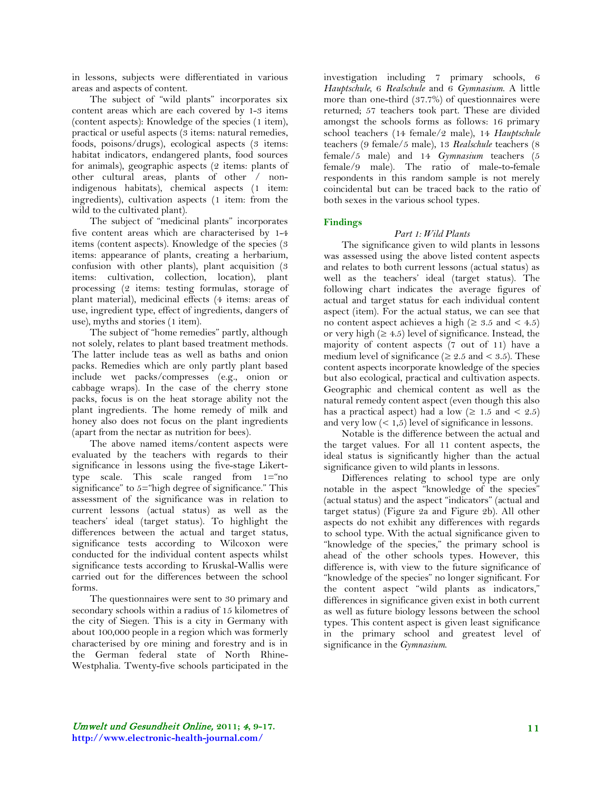in lessons, subjects were differentiated in various areas and aspects of content.

The subject of "wild plants" incorporates six content areas which are each covered by 1-3 items (content aspects): Knowledge of the species (1 item), practical or useful aspects (3 items: natural remedies, foods, poisons/drugs), ecological aspects (3 items: habitat indicators, endangered plants, food sources for animals), geographic aspects (2 items: plants of other cultural areas, plants of other / nonindigenous habitats), chemical aspects (1 item: ingredients), cultivation aspects (1 item: from the wild to the cultivated plant).

The subject of "medicinal plants" incorporates five content areas which are characterised by 1-4 items (content aspects). Knowledge of the species (3 items: appearance of plants, creating a herbarium, confusion with other plants), plant acquisition (3 items: cultivation, collection, location), plant processing (2 items: testing formulas, storage of plant material), medicinal effects (4 items: areas of use, ingredient type, effect of ingredients, dangers of use), myths and stories (1 item).

The subject of "home remedies" partly, although not solely, relates to plant based treatment methods. The latter include teas as well as baths and onion packs. Remedies which are only partly plant based include wet packs/compresses (e.g., onion or cabbage wraps). In the case of the cherry stone packs, focus is on the heat storage ability not the plant ingredients. The home remedy of milk and honey also does not focus on the plant ingredients (apart from the nectar as nutrition for bees).

The above named items/content aspects were evaluated by the teachers with regards to their significance in lessons using the five-stage Likerttype scale. This scale ranged from 1="no significance" to 5="high degree of significance." This assessment of the significance was in relation to current lessons (actual status) as well as the teachers' ideal (target status). To highlight the differences between the actual and target status, significance tests according to Wilcoxon were conducted for the individual content aspects whilst significance tests according to Kruskal-Wallis were carried out for the differences between the school forms.

The questionnaires were sent to 30 primary and secondary schools within a radius of 15 kilometres of the city of Siegen. This is a city in Germany with about 100,000 people in a region which was formerly characterised by ore mining and forestry and is in the German federal state of North Rhine-Westphalia. Twenty-five schools participated in the

investigation including 7 primary schools, 6 *Hauptschule*, 6 *Realschule* and 6 *Gymnasium*. A little more than one-third (37.7%) of questionnaires were returned; 57 teachers took part. These are divided amongst the schools forms as follows: 16 primary school teachers (14 female/2 male), 14 *Hauptschule* teachers (9 female/5 male), 13 *Realschule* teachers (8 female/5 male) and 14 *Gymnasium* teachers (5 female/9 male). The ratio of male-to-female respondents in this random sample is not merely coincidental but can be traced back to the ratio of both sexes in the various school types.

## **Findings**

## *Part 1: Wild Plants*

The significance given to wild plants in lessons was assessed using the above listed content aspects and relates to both current lessons (actual status) as well as the teachers' ideal (target status). The following chart indicates the average figures of actual and target status for each individual content aspect (item). For the actual status, we can see that no content aspect achieves a high ( $\geq 3.5$  and  $\lt 4.5$ ) or very high  $(≥ 4.5)$  level of significance. Instead, the majority of content aspects (7 out of 11) have a medium level of significance ( $\geq 2.5$  and  $\lt 3.5$ ). These content aspects incorporate knowledge of the species but also ecological, practical and cultivation aspects. Geographic and chemical content as well as the natural remedy content aspect (even though this also has a practical aspect) had a low  $(≥ 1.5$  and  $≤ 2.5)$ and very low  $(< 1.5)$  level of significance in lessons.

Notable is the difference between the actual and the target values. For all 11 content aspects, the ideal status is significantly higher than the actual significance given to wild plants in lessons.

Differences relating to school type are only notable in the aspect "knowledge of the species" (actual status) and the aspect "indicators" (actual and target status) (Figure 2a and Figure 2b). All other aspects do not exhibit any differences with regards to school type. With the actual significance given to "knowledge of the species," the primary school is ahead of the other schools types. However, this difference is, with view to the future significance of "knowledge of the species" no longer significant. For the content aspect "wild plants as indicators," differences in significance given exist in both current as well as future biology lessons between the school types. This content aspect is given least significance in the primary school and greatest level of significance in the *Gymnasium*.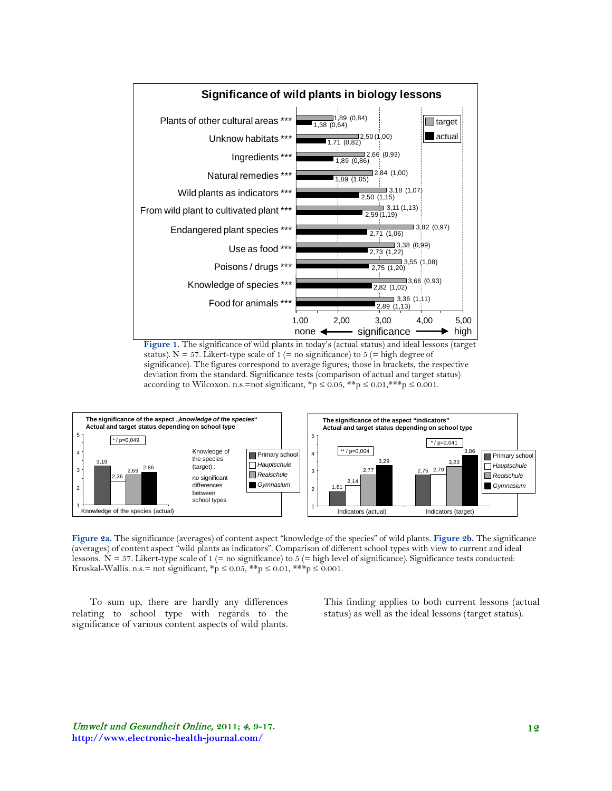

**Figure 1.** The significance of wild plants in today's (actual status) and ideal lessons (target status). N = 57. Likert-type scale of 1 (= no significance) to 5 (= high degree of significance). The figures correspond to average figures; those in brackets, the respective deviation from the standard. Significance tests (comparison of actual and target status) according to Wilcoxon. n.s.=not significant,  $\sp{\ast}p \leq 0.05$ ,  $\sp{\ast} \sp{\ast}p \leq 0.01$ ,  $\sp{\ast} \sp{\ast} \sp{\ast}p \leq 0.001$ .



**Figure 2a.** The significance (averages) of content aspect "knowledge of the species" of wild plants. **Figure 2b.** The significance (averages) of content aspect "wild plants as indicators". Comparison of different school types with view to current and ideal lessons.  $N = 57$ . Likert-type scale of 1 (= no significance) to 5 (= high level of significance). Significance tests conducted: Kruskal-Wallis. n.s.= not significant, \*p ≤ 0.05, \*\*p ≤ 0.01, \*\*\*p ≤ 0.001.

To sum up, there are hardly any differences relating to school type with regards to the significance of various content aspects of wild plants.

This finding applies to both current lessons (actual status) as well as the ideal lessons (target status).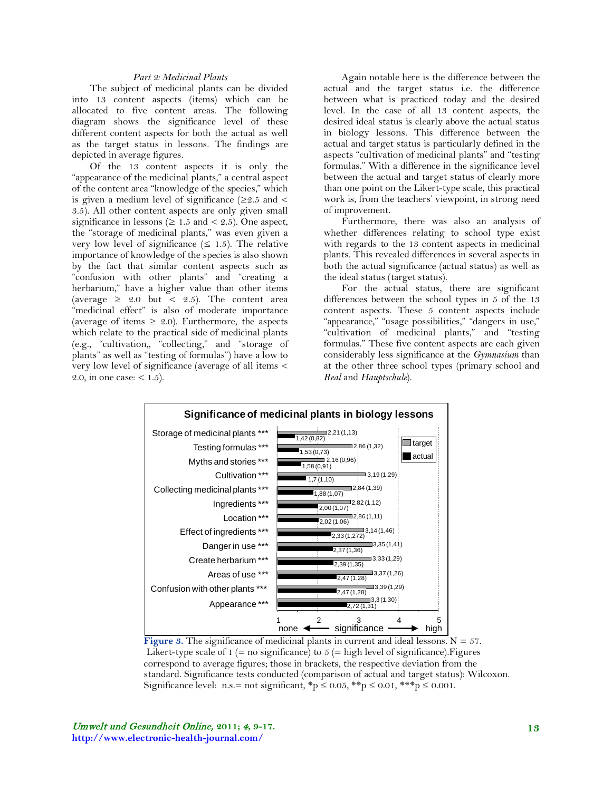## *Part 2: Medicinal Plants*

The subject of medicinal plants can be divided into 13 content aspects (items) which can be allocated to five content areas. The following diagram shows the significance level of these different content aspects for both the actual as well as the target status in lessons. The findings are depicted in average figures.

Of the 13 content aspects it is only the "appearance of the medicinal plants," a central aspect of the content area "knowledge of the species," which is given a medium level of significance ( $\geq 2.5$  and  $\leq$ 3.5). All other content aspects are only given small significance in lessons ( $\geq 1.5$  and  $\lt 2.5$ ). One aspect, the "storage of medicinal plants," was even given a very low level of significance  $(\leq 1.5)$ . The relative importance of knowledge of the species is also shown by the fact that similar content aspects such as "confusion with other plants" and "creating a herbarium," have a higher value than other items (average  $\geq$  2.0 but < 2.5). The content area "medicinal effect" is also of moderate importance (average of items  $\geq$  2.0). Furthermore, the aspects which relate to the practical side of medicinal plants (e.g., "cultivation,, "collecting," and "storage of plants" as well as "testing of formulas") have a low to very low level of significance (average of all items < 2.0, in one case:  $\lt$  1.5).

Again notable here is the difference between the actual and the target status i.e. the difference between what is practiced today and the desired level. In the case of all 13 content aspects, the desired ideal status is clearly above the actual status in biology lessons. This difference between the actual and target status is particularly defined in the aspects "cultivation of medicinal plants" and "testing formulas." With a difference in the significance level between the actual and target status of clearly more than one point on the Likert-type scale, this practical work is, from the teachers' viewpoint, in strong need of improvement.

Furthermore, there was also an analysis of whether differences relating to school type exist with regards to the 13 content aspects in medicinal plants. This revealed differences in several aspects in both the actual significance (actual status) as well as the ideal status (target status).

For the actual status, there are significant differences between the school types in 5 of the 13 content aspects. These 5 content aspects include "appearance," "usage possibilities," "dangers in use," "cultivation of medicinal plants," and "testing formulas." These five content aspects are each given considerably less significance at the *Gymnasium* than at the other three school types (primary school and *Real* and *Hauptschule*).



**Figure 3.** The significance of medicinal plants in current and ideal lessons.  $N = 57$ . Likert-type scale of  $1$  (= no significance) to  $5$  (= high level of significance). Figures correspond to average figures; those in brackets, the respective deviation from the standard. Significance tests conducted (comparison of actual and target status): Wilcoxon. Significance level: n.s.= not significant, \*p  $\leq 0.05$ , \*\*p  $\leq 0.01$ , \*\*\*p  $\leq 0.001$ .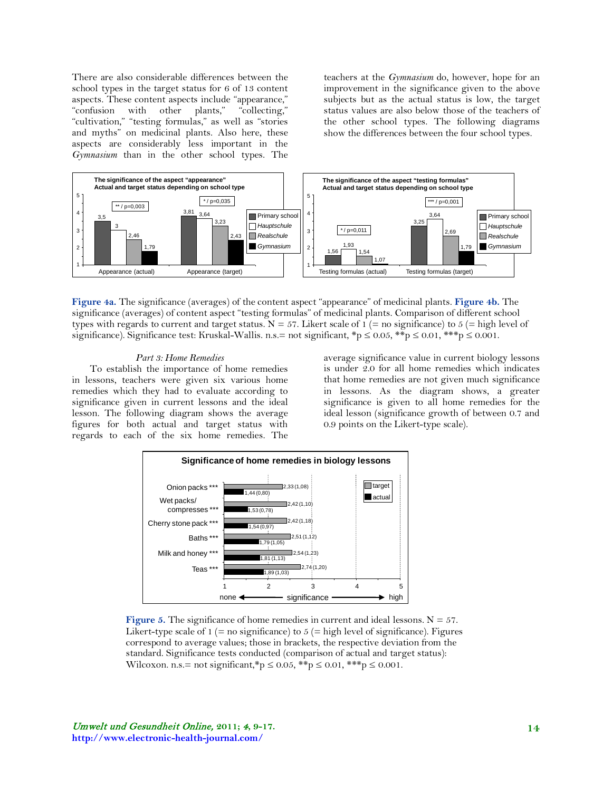There are also considerable differences between the school types in the target status for 6 of 13 content aspects. These content aspects include "appearance," "confusion with other plants," "collecting," "cultivation," "testing formulas," as well as "stories and myths" on medicinal plants. Also here, these aspects are considerably less important in the *Gymnasium* than in the other school types. The

teachers at the *Gymnasium* do, however, hope for an improvement in the significance given to the above subjects but as the actual status is low, the target status values are also below those of the teachers of the other school types. The following diagrams show the differences between the four school types.



**Figure 4a.** The significance (averages) of the content aspect "appearance" of medicinal plants. **Figure 4b.** The significance (averages) of content aspect "testing formulas" of medicinal plants. Comparison of different school types with regards to current and target status.  $N = 57$ . Likert scale of 1 (= no significance) to 5 (= high level of significance). Significance test: Kruskal-Wallis. n.s.= not significant,  $\frac{1}{2}p \le 0.05$ ,  $\frac{1}{2}p \le 0.01$ ,  $\frac{1}{2}p \le 0.001$ .

#### *Part 3: Home Remedies*

To establish the importance of home remedies in lessons, teachers were given six various home remedies which they had to evaluate according to significance given in current lessons and the ideal lesson. The following diagram shows the average figures for both actual and target status with regards to each of the six home remedies. The average significance value in current biology lessons is under 2.0 for all home remedies which indicates that home remedies are not given much significance in lessons. As the diagram shows, a greater significance is given to all home remedies for the ideal lesson (significance growth of between 0.7 and 0.9 points on the Likert-type scale).



**Figure 5.** The significance of home remedies in current and ideal lessons.  $N = 57$ . Likert-type scale of  $1$  (= no significance) to  $5$  (= high level of significance). Figures correspond to average values; those in brackets, the respective deviation from the standard. Significance tests conducted (comparison of actual and target status): Wilcoxon. n.s.= not significant,\*p  $\leq 0.05$ , \*\*p  $\leq 0.01$ , \*\*\*p  $\leq 0.001$ .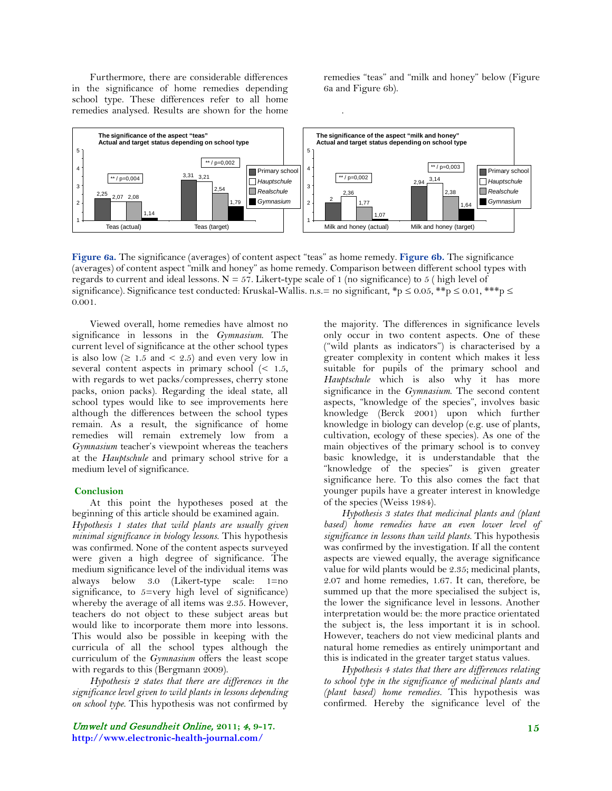Furthermore, there are considerable differences in the significance of home remedies depending school type. These differences refer to all home remedies analysed. Results are shown for the home remedies "teas" and "milk and honey" below (Figure 6a and Figure 6b).



.

**Figure 6a.** The significance (averages) of content aspect "teas" as home remedy. **Figure 6b.** The significance (averages) of content aspect "milk and honey" as home remedy. Comparison between different school types with regards to current and ideal lessons.  $N = 57$ . Likert-type scale of 1 (no significance) to 5 ( high level of significance). Significance test conducted: Kruskal-Wallis. n.s.= no significant, \*p  $\leq 0.05$ , \*\*p  $\leq 0.01$ , \*\*\*p  $\leq$ 0.001.

Viewed overall, home remedies have almost no significance in lessons in the *Gymnasium*. The current level of significance at the other school types is also low  $( \geq 1.5 \text{ and } \leq 2.5)$  and even very low in several content aspects in primary school  $\leq 1.5$ , with regards to wet packs/compresses, cherry stone packs, onion packs). Regarding the ideal state, all school types would like to see improvements here although the differences between the school types remain. As a result, the significance of home remedies will remain extremely low from a *Gymnasium* teacher's viewpoint whereas the teachers at the *Hauptschule* and primary school strive for a medium level of significance.

#### **Conclusion**

At this point the hypotheses posed at the beginning of this article should be examined again.

*Hypothesis 1 states that wild plants are usually given minimal significance in biology lessons.* This hypothesis was confirmed. None of the content aspects surveyed were given a high degree of significance. The medium significance level of the individual items was always below 3.0 (Likert-type scale: 1=no significance, to 5=very high level of significance) whereby the average of all items was 2.35. However, teachers do not object to these subject areas but would like to incorporate them more into lessons. This would also be possible in keeping with the curricula of all the school types although the curriculum of the *Gymnasium* offers the least scope with regards to this (Bergmann 2009).

*Hypothesis 2 states that there are differences in the significance level given to wild plants in lessons depending on school type.* This hypothesis was not confirmed by

Umwelt und Gesundheit Online, **2011;** 4**, 9-17. http://www.electronic-health-journal.com/**

the majority. The differences in significance levels only occur in two content aspects. One of these ("wild plants as indicators") is characterised by a greater complexity in content which makes it less suitable for pupils of the primary school and *Hauptschule* which is also why it has more significance in the *Gymnasium*. The second content aspects, "knowledge of the species", involves basic knowledge (Berck 2001) upon which further knowledge in biology can develop (e.g. use of plants, cultivation, ecology of these species). As one of the main objectives of the primary school is to convey basic knowledge, it is understandable that the "knowledge of the species" is given greater significance here. To this also comes the fact that younger pupils have a greater interest in knowledge of the species (Weiss 1984).

*Hypothesis 3 states that medicinal plants and (plant based) home remedies have an even lower level of significance in lessons than wild plants.* This hypothesis was confirmed by the investigation. If all the content aspects are viewed equally, the average significance value for wild plants would be 2.35; medicinal plants, 2.07 and home remedies, 1.67. It can, therefore, be summed up that the more specialised the subject is, the lower the significance level in lessons. Another interpretation would be: the more practice orientated the subject is, the less important it is in school. However, teachers do not view medicinal plants and natural home remedies as entirely unimportant and this is indicated in the greater target status values.

*Hypothesis 4 states that there are differences relating to school type in the significance of medicinal plants and (plant based) home remedies.* This hypothesis was confirmed. Hereby the significance level of the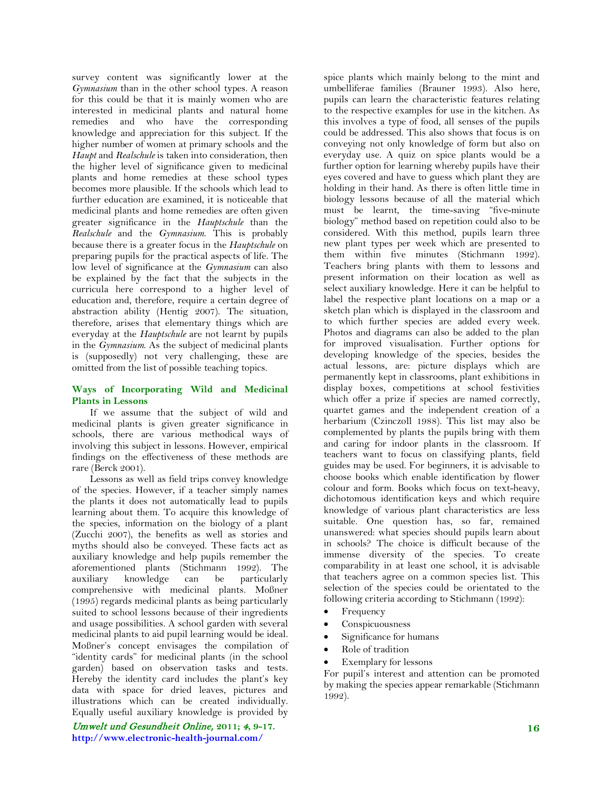survey content was significantly lower at the *Gymnasium* than in the other school types. A reason for this could be that it is mainly women who are interested in medicinal plants and natural home remedies and who have the corresponding knowledge and appreciation for this subject. If the higher number of women at primary schools and the *Haupt* and *Realschule* is taken into consideration, then the higher level of significance given to medicinal plants and home remedies at these school types becomes more plausible. If the schools which lead to further education are examined, it is noticeable that medicinal plants and home remedies are often given greater significance in the *Hauptschule* than the *Realschule* and the *Gymnasium*. This is probably because there is a greater focus in the *Hauptschule* on preparing pupils for the practical aspects of life. The low level of significance at the *Gymnasium* can also be explained by the fact that the subjects in the curricula here correspond to a higher level of education and, therefore, require a certain degree of abstraction ability (Hentig 2007). The situation, therefore, arises that elementary things which are everyday at the *Hauptschule* are not learnt by pupils in the *Gymnasium*. As the subject of medicinal plants is (supposedly) not very challenging, these are omitted from the list of possible teaching topics.

## **Ways of Incorporating Wild and Medicinal Plants in Lessons**

If we assume that the subject of wild and medicinal plants is given greater significance in schools, there are various methodical ways of involving this subject in lessons. However, empirical findings on the effectiveness of these methods are rare (Berck 2001).

Lessons as well as field trips convey knowledge of the species. However, if a teacher simply names the plants it does not automatically lead to pupils learning about them. To acquire this knowledge of the species, information on the biology of a plant (Zucchi 2007), the benefits as well as stories and myths should also be conveyed. These facts act as auxiliary knowledge and help pupils remember the aforementioned plants (Stichmann 1992). The<br>auxiliary knowledge can be particularly auxiliary knowledge can be particularly comprehensive with medicinal plants. Moßner (1995) regards medicinal plants as being particularly suited to school lessons because of their ingredients and usage possibilities. A school garden with several medicinal plants to aid pupil learning would be ideal. Moßner's concept envisages the compilation of "identity cards" for medicinal plants (in the school garden) based on observation tasks and tests. Hereby the identity card includes the plant's key data with space for dried leaves, pictures and illustrations which can be created individually. Equally useful auxiliary knowledge is provided by

Umwelt und Gesundheit Online, **2011;** 4**, 9-17. http://www.electronic-health-journal.com/**

spice plants which mainly belong to the mint and umbelliferae families (Brauner 1993). Also here, pupils can learn the characteristic features relating to the respective examples for use in the kitchen. As this involves a type of food, all senses of the pupils could be addressed. This also shows that focus is on conveying not only knowledge of form but also on everyday use. A quiz on spice plants would be a further option for learning whereby pupils have their eyes covered and have to guess which plant they are holding in their hand. As there is often little time in biology lessons because of all the material which must be learnt, the time-saving "five-minute biology" method based on repetition could also to be considered. With this method, pupils learn three new plant types per week which are presented to them within five minutes (Stichmann 1992). Teachers bring plants with them to lessons and present information on their location as well as select auxiliary knowledge. Here it can be helpful to label the respective plant locations on a map or a sketch plan which is displayed in the classroom and to which further species are added every week. Photos and diagrams can also be added to the plan for improved visualisation. Further options for developing knowledge of the species, besides the actual lessons, are: picture displays which are permanently kept in classrooms, plant exhibitions in display boxes, competitions at school festivities which offer a prize if species are named correctly, quartet games and the independent creation of a herbarium (Czinczoll 1988). This list may also be complemented by plants the pupils bring with them and caring for indoor plants in the classroom. If teachers want to focus on classifying plants, field guides may be used. For beginners, it is advisable to choose books which enable identification by flower colour and form. Books which focus on text-heavy, dichotomous identification keys and which require knowledge of various plant characteristics are less suitable. One question has, so far, remained unanswered: what species should pupils learn about in schools? The choice is difficult because of the immense diversity of the species. To create comparability in at least one school, it is advisable that teachers agree on a common species list. This selection of the species could be orientated to the following criteria according to Stichmann (1992):

- **Frequency**
- Conspicuousness
- Significance for humans
- Role of tradition
- Exemplary for lessons

For pupil's interest and attention can be promoted by making the species appear remarkable (Stichmann 1992).